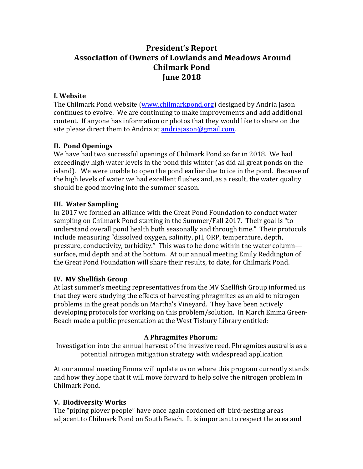# **President's Report** Association of Owners of Lowlands and Meadows Around **Chilmark Pond June 2018**

#### **I. Website**

The Chilmark Pond website (www.chilmarkpond.org) designed by Andria Jason continues to evolve. We are continuing to make improvements and add additional content. If anyone has information or photos that they would like to share on the site please direct them to Andria at andriajason@gmail.com.

# **II. Pond Openings**

We have had two successful openings of Chilmark Pond so far in 2018. We had exceedingly high water levels in the pond this winter (as did all great ponds on the island). We were unable to open the pond earlier due to ice in the pond. Because of the high levels of water we had excellent flushes and, as a result, the water quality should be good moving into the summer season.

## **III. Water Sampling**

In 2017 we formed an alliance with the Great Pond Foundation to conduct water sampling on Chilmark Pond starting in the Summer/Fall 2017. Their goal is "to understand overall pond health both seasonally and through time." Their protocols include measuring "dissolved oxygen, salinity, pH, ORP, temperature, depth, pressure, conductivity, turbidity." This was to be done within the water column surface, mid depth and at the bottom. At our annual meeting Emily Reddington of the Great Pond Foundation will share their results, to date, for Chilmark Pond.

## **IV. MV Shellfish Group**

At last summer's meeting representatives from the MV Shellfish Group informed us that they were studying the effects of harvesting phragmites as an aid to nitrogen problems in the great ponds on Martha's Vineyard. They have been actively developing protocols for working on this problem/solution. In March Emma Green-Beach made a public presentation at the West Tisbury Library entitled:

## **A Phragmites Phorum:**

Investigation into the annual harvest of the invasive reed, Phragmites australis as a potential nitrogen mitigation strategy with widespread application

At our annual meeting Emma will update us on where this program currently stands and how they hope that it will move forward to help solve the nitrogen problem in Chilmark Pond.

## **V. Biodiversity Works**

The "piping plover people" have once again cordoned off bird-nesting areas adjacent to Chilmark Pond on South Beach. It is important to respect the area and